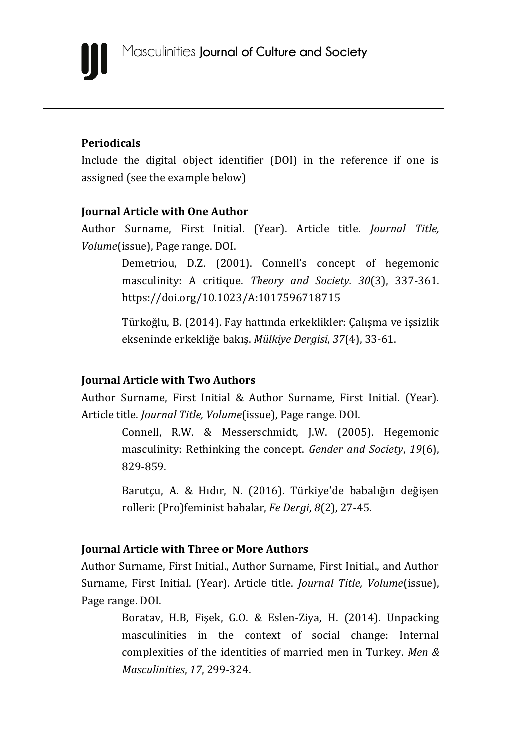

### **Periodicals**

Include the digital object identifier (DOI) in the reference if one is assigned (see the example below)

### **Journal Article with One Author**

Author Surname, First Initial. (Year). Article title. *Journal Title, Volume*(issue), Page range. DOI.

> Demetriou, D.Z. (2001). Connell's concept of hegemonic masculinity: A critique. *Theory and Society. 30*(3), 337-361. <https://doi.org/10.1023/A:1017596718715>

> Türkoğlu, B. (2014). Fay hattında erkeklikler: Çalışma ve işsizlik ekseninde erkekliğe bakış. *Mülkiye Dergisi*, *37*(4), 33-61.

### **Journal Article with Two Authors**

Author Surname, First Initial & Author Surname, First Initial. (Year). Article title. *Journal Title, Volume*(issue), Page range. DOI.

> Connell, R.W. & Messerschmidt, J.W. (2005). Hegemonic masculinity: Rethinking the concept. *Gender and Society*, *19*(6), 829-859.

> Barutçu, A. & Hıdır, N. (2016). Türkiye'de babalığın değişen rolleri: (Pro)feminist babalar, *Fe Dergi*, *8*(2), 27-45.

### **Journal Article with Three or More Authors**

Author Surname, First Initial., Author Surname, First Initial., and Author Surname, First Initial. (Year). Article title. *Journal Title, Volume*(issue), Page range. DOI.

> Boratav, H.B, Fişek, G.O. & Eslen-Ziya, H. (2014). Unpacking masculinities in the context of social change: Internal complexities of the identities of married men in Turkey. *Men & Masculinities*, *17*, 299-324.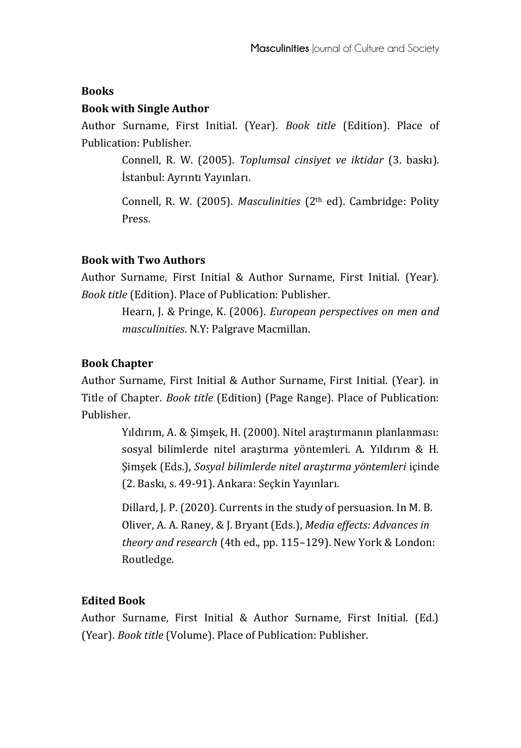### **Books**

## **Book with Single Author**

Author Surname, First Initial. (Year). *Book title* (Edition). Place of Publication: Publisher.

> Connell, R. W. (2005). *Toplumsal cinsiyet ve iktidar* (3. baskı). İstanbul: Ayrıntı Yayınları.

> Connell, R. W. (2005). *Masculinities* (2<sup>th</sup> ed). Cambridge: Polity Press.

### **Book with Two Authors**

Author Surname, First Initial & Author Surname, First Initial. (Year). *Book title* (Edition). Place of Publication: Publisher.

> Hearn, J. & Pringe, K. (2006). *European perspectives on men and masculinities*. N.Y: Palgrave Macmillan.

## **Book Chapter**

Author Surname, First Initial & Author Surname, First Initial. (Year). in Title of Chapter. *Book title* (Edition) (Page Range). Place of Publication: Publisher.

> Yıldırım, A. & Şimşek, H. (2000). Nitel araştırmanın planlanması: sosyal bilimlerde nitel araştırma yöntemleri. A. Yıldırım & H. Şimşek (Eds.), *Sosyal bilimlerde nitel araştırma yöntemleri* içinde (2. Baskı, s. 49-91). Ankara: Seçkin Yayınları.

Dillard, J. P. (2020). Currents in the study of persuasion. In M. B. Oliver, A. A. Raney, & J. Bryant (Eds.), *Media effects: Advances in theory and research* (4th ed., pp. 115–129). New York & London: Routledge.

# **Edited Book**

Author Surname, First Initial & Author Surname, First Initial. (Ed.) (Year). *Book title* (Volume). Place of Publication: Publisher.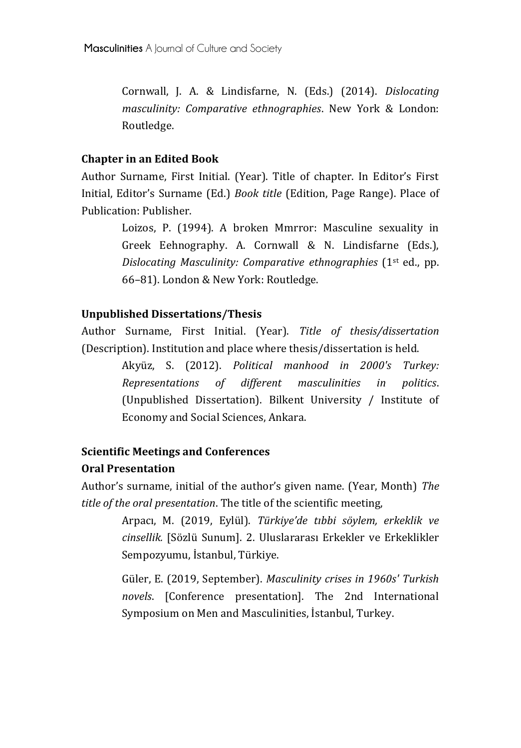Cornwall, J. A. & Lindisfarne, N. (Eds.) (2014). *Dislocating masculinity: Comparative ethnographies*. New York & London: Routledge.

### **Chapter in an Edited Book**

Author Surname, First Initial. (Year). Title of chapter. In Editor's First Initial, Editor's Surname (Ed.) *Book title* (Edition, Page Range). Place of Publication: Publisher.

> Loizos, P. (1994). A broken Mmrror: Masculine sexuality in Greek Eehnography. A. Cornwall & N. Lindisfarne (Eds.), *Dislocating Masculinity: Comparative ethnographies* (1st ed., pp. 66–81). London & New York: Routledge.

### **Unpublished Dissertations/Thesis**

Author Surname, First Initial. (Year). *Title of thesis/dissertation*  (Description). Institution and place where thesis/dissertation is held.

> Akyüz, S. (2012). *Political manhood in 2000's Turkey: Representations of different masculinities in politics*. (Unpublished Dissertation). Bilkent University / Institute of Economy and Social Sciences, Ankara.

## **Scientific Meetings and Conferences Oral Presentation**

Author's surname, initial of the author's given name. (Year, Month) *The title of the oral presentation*. The title of the scientific meeting,

> Arpacı, M. (2019, Eylül). *Türkiye'de tıbbi söylem, erkeklik ve cinsellik.* [Sözlü Sunum]. 2. Uluslararası Erkekler ve Erkeklikler Sempozyumu, İstanbul, Türkiye.

> Güler, E. (2019, September). *Masculinity crises in 1960s' Turkish novels*. [Conference presentation]. The 2nd International Symposium on Men and Masculinities, İstanbul, Turkey.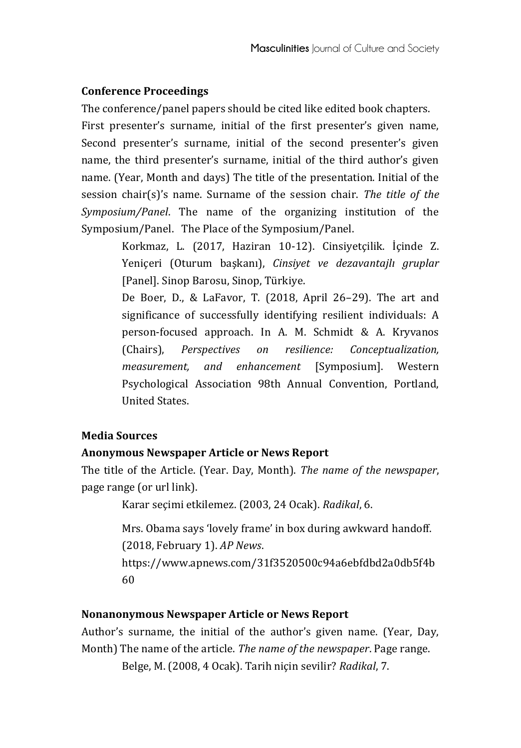## **Conference Proceedings**

The conference/panel papers should be cited like edited book chapters.

First presenter's surname, initial of the first presenter's given name, Second presenter's surname, initial of the second presenter's given name, the third presenter's surname, initial of the third author's given name. (Year, Month and days) The title of the presentation. Initial of the session chair(s)'s name. Surname of the session chair. *The title of the Symposium/Panel*. The name of the organizing institution of the Symposium/Panel. The Place of the Symposium/Panel.

> Korkmaz, L. (2017, Haziran 10-12). Cinsiyetçilik. İçinde Z. Yeniçeri (Oturum başkanı), *Cinsiyet ve dezavantajlı gruplar* [Panel]. Sinop Barosu, Sinop, Türkiye.

> De Boer, D., & LaFavor, T. (2018, April 26–29). The art and significance of successfully identifying resilient individuals: A person-focused approach. In A. M. Schmidt & A. Kryvanos (Chairs), *Perspectives on resilience: Conceptualization, measurement, and enhancement* [Symposium]. Western Psychological Association 98th Annual Convention, Portland, United States.

## **Media Sources**

## **Anonymous Newspaper Article or News Report**

The title of the Article. (Year. Day, Month). *The name of the newspaper*, page range (or url link).

Karar seçimi etkilemez. (2003, 24 Ocak). *Radikal*, 6.

Mrs. Obama says 'lovely frame' in box during awkward handoff. (2018, February 1). *AP News*.

https://www.apnews.com/31f3520500c94a6ebfdbd2a0db5f4b 60

### **Nonanonymous Newspaper Article or News Report**

Author's surname, the initial of the author's given name. (Year, Day, Month) The name of the article. *The name of the newspaper*. Page range. Belge, M. (2008, 4 Ocak). Tarih niçin sevilir? *Radikal*, 7.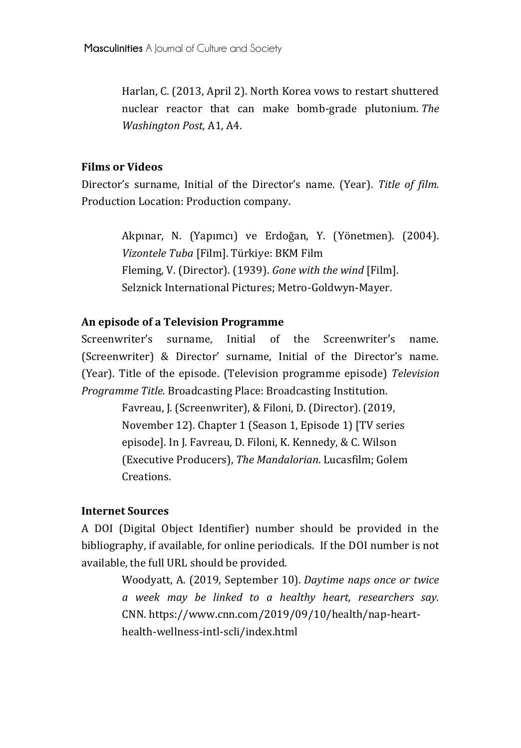Harlan, C. (2013, April 2). North Korea vows to restart shuttered nuclear reactor that can make bomb-grade plutonium. *The Washington Post,* A1, A4.

### **Films or Videos**

Director's surname, Initial of the Director's name. (Year). *Title of film.* Production Location: Production company.

> Akpınar, N. (Yapımcı) ve Erdoğan, Y. (Yönetmen). (2004). *Vizontele Tuba* [Film]. Türkiye: BKM Film Fleming, V. (Director). (1939). *Gone with the wind* [Film]. Selznick International Pictures; Metro-Goldwyn-Mayer.

### **An episode of a Television Programme**

Screenwriter's surname, Initial of the Screenwriter's name. (Screenwriter) & Director' surname, Initial of the Director's name. (Year). Title of the episode. (Television programme episode) *Television Programme Title.* Broadcasting Place: Broadcasting Institution.

> Favreau, J. (Screenwriter), & Filoni, D. (Director). (2019, November 12). Chapter 1 (Season 1, Episode 1) [TV series episode]. In J. Favreau, D. Filoni, K. Kennedy, & C. Wilson (Executive Producers), *The Mandalorian*. Lucasfilm; Golem Creations.

### **Internet Sources**

A DOI (Digital Object Identifier) number should be provided in the bibliography, if available, for online periodicals. If the DOI number is not available, the full URL should be provided.

> Woodyatt, A. (2019, September 10). *Daytime naps once or twice a week may be linked to a healthy heart, researchers say.* CNN. [https://www.cnn.com/2019/09/10/health/nap-heart](https://www.cnn.com/2019/09/10/health/nap-heart-health-wellness-intl-scli/index.html)[health-wellness-intl-scli/index.html](https://www.cnn.com/2019/09/10/health/nap-heart-health-wellness-intl-scli/index.html)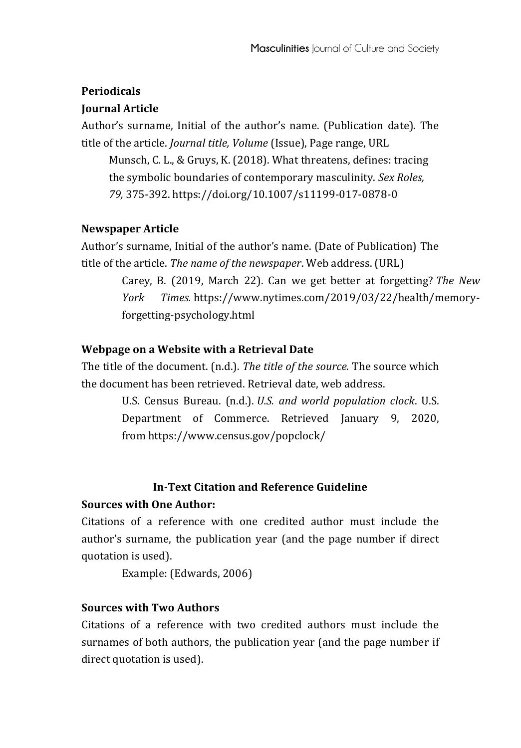### **Periodicals**

### **Journal Article**

Author's surname, Initial of the author's name. (Publication date). The title of the article. *Journal title, Volume* (Issue), Page range, URL

Munsch, C. L., & Gruys, K. (2018). What threatens, defines: tracing the symbolic boundaries of contemporary masculinity. *Sex Roles, 79,* 375-392. https://doi.org/10.1007/s11199-017-0878-0

### **Newspaper Article**

Author's surname, Initial of the author's name. (Date of Publication) The title of the article. *The name of the newspaper*. Web address. (URL)

> Carey, B. (2019, March 22). Can we get better at forgetting? *The New York Times.* [https://www.nytimes.com/2019/03/22/health/memory](https://www.nytimes.com/2019/03/22/health/memory-forgetting-psychology.html)[forgetting-psychology.html](https://www.nytimes.com/2019/03/22/health/memory-forgetting-psychology.html)

### **Webpage on a Website with a Retrieval Date**

The title of the document. (n.d.). *The title of the source.* The source which the document has been retrieved. Retrieval date, web address.

> U.S. Census Bureau. (n.d.). *U.S. and world population clock*. U.S. Department of Commerce. Retrieved January 9, 2020, from <https://www.census.gov/popclock/>

### **In-Text Citation and Reference Guideline**

### **Sources with One Author:**

Citations of a reference with one credited author must include the author's surname, the publication year (and the page number if direct quotation is used).

Example: (Edwards, 2006)

## **Sources with Two Authors**

Citations of a reference with two credited authors must include the surnames of both authors, the publication year (and the page number if direct quotation is used).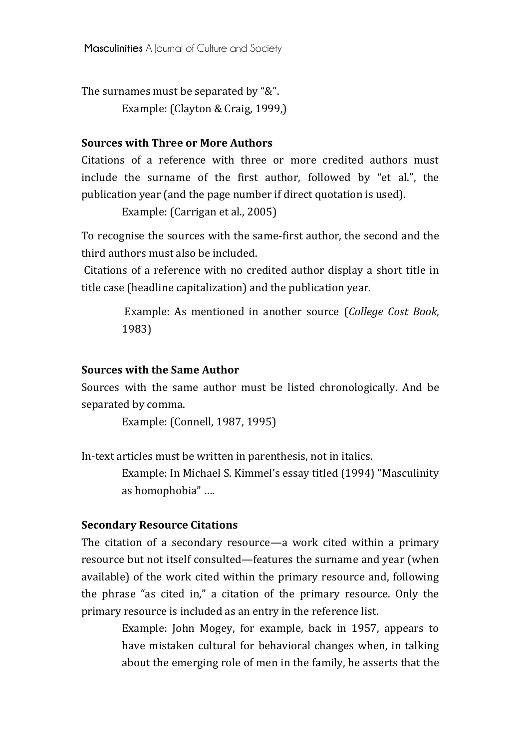**Masculinities** A Journal of Culture and Society

The surnames must be separated by "&".

Example: (Clayton & Craig, 1999,)

#### **Sources with Three or More Authors**

Citations of a reference with three or more credited authors must include the surname of the first author, followed by "et al.", the publication year (and the page number if direct quotation is used).

Example: (Carrigan et al., 2005)

To recognise the sources with the same-first author, the second and the third authors must also be included.

Citations of a reference with no credited author display a short title in title case (headline capitalization) and the publication year.

> Example: As mentioned in another source (*College Cost Book*, 1983)

### **Sources with the Same Author**

Sources with the same author must be listed chronologically. And be separated by comma.

Example: (Connell, 1987, 1995)

In-text articles must be written in parenthesis, not in italics.

Example: In Michael S. Kimmel's essay titled (1994) "Masculinity as homophobia" ….

#### **Secondary Resource Citations**

The citation of a secondary resource—a work cited within a primary resource but not itself consulted—features the surname and year (when available) of the work cited within the primary resource and, following the phrase "as cited in," a citation of the primary resource. Only the primary resource is included as an entry in the reference list.

> Example: John Mogey, for example, back in 1957, appears to have mistaken cultural for behavioral changes when, in talking about the emerging role of men in the family, he asserts that the